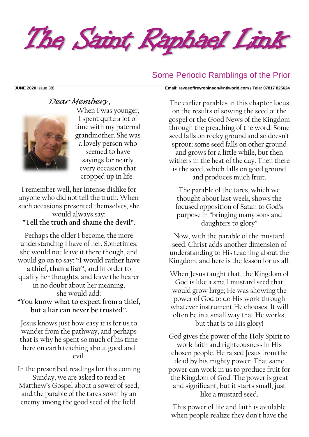The Saint Raphael Link

## Some Periodic Ramblings of the Prior

#### **JUNE 2020** Issue 38) **Email: [revgeoffreyrobinson@ntlworld.com](mailto:revgeoffreyrobinson@ntlworld.com) / Tele: 07817 825624**

# *Dear Members ,*



When I was younger, I spent quite a lot of time with my paternal grandmother. She was a lovely person who seemed to have sayings for nearly every occasion that cropped up in life.

I remember well, her intense dislike for anyone who did not tell the truth. When such occasions presented themselves, she would always say: **"Tell the truth and shame the devil".**

Perhaps the older I become, the more understanding I have of her. Sometimes, she would not leave it there though, and would go on to say: **"I would rather have a thief, than a liar",** and in order to qualify her thoughts, and leave the hearer in no doubt about her meaning, she would add:

### **"You know what to expect from a thief, but a liar can never be trusted".**

Jesus knows just how easy it is for us to wander from the pathway, and perhaps that is why he spent so much of his time here on earth teaching about good and evil.

In the prescribed readings for this coming Sunday, we are asked to read St Matthew's Gospel about a sower of seed, and the parable of the tares sown by an enemy among the good seed of the field.

The earlier parables in this chapter focus on the results of sowing the seed of the gospel or the Good News of the Kingdom through the preaching of the word. Some seed falls on rocky ground and so doesn't sprout; some seed falls on other ground and grows for a little while, but then withers in the heat of the day. Then there is the seed, which falls on good ground and produces much fruit.

The parable of the tares, which we thought about last week, shows the focused opposition of Satan to God's purpose in "bringing many sons and daughters to glory"

Now, with the parable of the mustard seed, Christ adds another dimension of understanding to His teaching about the Kingdom; and here is the lesson for us all.

When Jesus taught that, the Kingdom of God is like a small mustard seed that would grow large; He was showing the power of God to do His work through whatever instrument He chooses. It will often be in a small way that He works, but that is to His glory!

God gives the power of the Holy Spirit to work faith and righteousness in His chosen people. He raised Jesus from the dead by his mighty power. That same power can work in us to produce fruit for the Kingdom of God. The power is great and significant, but it starts small, just like a mustard seed.

This power of life and faith is available when people realize they don't have the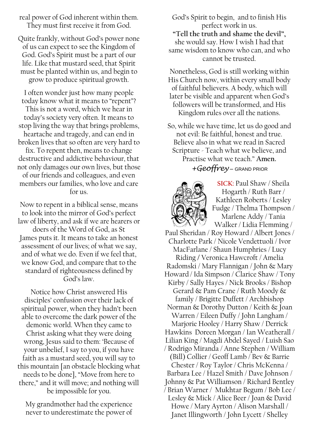real power of God inherent within them. They must first receive it from God.

Quite frankly, without God's power none of us can expect to see the Kingdom of God. God's Spirit must be a part of our life. Like that mustard seed, that Spirit must be planted within us, and begin to grow to produce spiritual growth.

I often wonder just how many people today know what it means to "repent"? This is not a word, which we hear in today's society very often. It means to stop living the way that brings problems, heartache and tragedy, and can end in broken lives that so often are very hard to

fix. To repent then, means to change destructive and addictive behaviour, that not only damages our own lives, but those of our friends and colleagues, and even

members our families, who love and care for us.

Now to repent in a biblical sense, means to look into the mirror of God's perfect law of liberty, and ask if we are hearers or doers of the Word of God, as St James puts it. It means to take an honest assessment of our lives; of what we say, and of what we do. Even if we feel that, we know God, and compare that to the standard of righteousness defined by God's law.

Notice how Christ answered His disciples' confusion over their lack of spiritual power, when they hadn't been able to overcome the dark power of the demonic world. When they came to Christ asking what they were doing wrong, Jesus said to them: 'Because of your unbelief, I say to you, if you have faith as a mustard seed, you will say to this mountain [an obstacle blocking what needs to be done], "Move from here to there," and it will move; and nothing will be impossible for you.

My grandmother had the experience never to underestimate the power of

God's Spirit to begin, and to finish His perfect work in us. **"Tell the truth and shame the devil",** she would say. How I wish I had that same wisdom to know who can, and who cannot be trusted.

Nonetheless, God is still working within His Church now, within every small body of faithful believers. A body, which will later be visible and apparent when God's followers will be transformed, and His Kingdom rules over all the nations.

So, while we have time, let us do good and not evil: Be faithful, honest and true. Believe also in what we read in Sacred Scripture - Teach what we believe, and

Practise what we teach." **Amen.** *+Geoffrey* – GRAND PRIOR



**SICK:** Paul Shaw / Sheila Hogarth / Ruth Barr / Kathleen Roberts / Lesley Fudge / Thelma Thompson / Marlene Addy / Tania Walker / Lidia Flemming /

Paul Sheridan / Roy Howard / Albert Jones / Charlotte Park / Nicole Vendettuoli / Ivor MacFarlane / Shaun Humphries / Lucy Riding **/** Veronica Hawcroft / Amelia Radomski / Mary Flannigan / John & Mary Howard / Ida Simpson / Clarice Shaw / Tony Kirby / Sally Hayes / Nick Brooks / Bishop Gerard & Pam Crane / Ruth Moody & family / Brigitte Duffett / Archbishop Norman & Dorothy Dutton / Keith & Joan Warren / Eileen Duffy / John Langham / Marjorie Hooley / Harry Shaw / Derrick Hawkins Doreen Morgan / Ian Weatherall / Lilian King / Magdi Abdel Sayed / Luish Sao / Rodrigo Miranda / Anne Stephen / William (Bill) Collier / Geoff Lamb / Bev & Barrie Chester / Roy Taylor / Chris McKenna / Barbara Lee / Hazel Smith / Dave Johnson / Johnny & Pat Williamson / Richard Bentley / Brian Warner / Mukhtar Begum / Bob Lee / Lesley & Mick / Alice Beer / Joan & David Howe / Mary Ayrton / Alison Marshall / Janet Illingworth / John Lycett / Shelley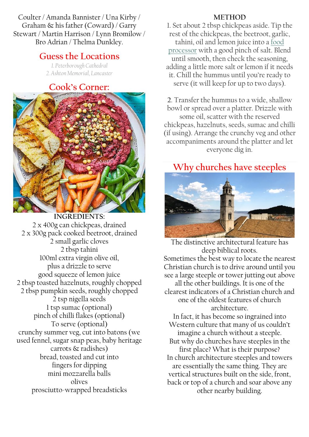Coulter / Amanda Bannister / Una Kirby / Graham & his father (Coward) / Garry Stewart / Martin Harrison / Lynn Bromilow / Bro Adrian / Thelma Dunkley.

# **Guess the Locations**

*1. Peterborough Cathedral 2. Ashton Memorial, Lancaster*

# **Cook's Corner:**



**INGREDIENTS:** 2 x 400g can chickpeas, drained 2 x 300g pack cooked [beetroot, drained](https://www.bbcgoodfood.com/glossary/beetroot) 2 small garlic cloves 2 tbsp [tahini](https://www.bbcgoodfood.com/glossary/tahini) 100ml extra virgin olive oil, plus a drizzle to serve good squeeze of lemon juice 2 tbsp toasted hazelnuts, roughly chopped 2 tbsp pumpkin seeds, roughly chopped 2 tsp nigella seeds 1 tsp sumac [\(optional\)](https://www.bbcgoodfood.com/glossary/sumac) pinch of chilli flakes (optional) To serve (optional) crunchy summer veg, cut into batons (we used fennel, sugar snap peas, baby heritage carrots & radishes) bread, toasted and cut into fingers for dipping mini mozzarella balls olives prosciutto-wrapped breadsticks

#### **METHOD**

1. Set about 2 tbsp chickpeas aside. Tip the rest of the chickpeas, the beetroot, garlic, tahini, oil and lemon juice into a [food](https://www.bbcgoodfood.com/content/test-five-best-food-processors)  [processor](https://www.bbcgoodfood.com/content/test-five-best-food-processors) with a good pinch of salt. Blend until smooth, then check the seasoning, adding a little more salt or lemon if it needs it. Chill the hummus until you're ready to serve (it will keep for up to two days).

**2**. Transfer the hummus to a wide, shallow bowl or spread over a platter. Drizzle with some oil, scatter with the reserved chickpeas, hazelnuts, seeds, sumac and chilli (if using). Arrange the crunchy veg and other accompaniments around the platter and let everyone dig in.

# **Why churches have steeples**



The distinctive architectural feature has deep biblical roots. Sometimes the best way to locate the nearest Christian church is to drive around until you see a large steeple or tower jutting out above all the other buildings. It is one of the clearest indicators of a Christian church and one of the oldest features of church architecture. In fact, it has become so ingrained into Western culture that many of us couldn't imagine a church without a steeple. But why do churches have steeples in the first place? What is their purpose? In church architecture steeples and towers are essentially the same thing. They are vertical structures built on the side, front, back or top of a church and soar above any other nearby building.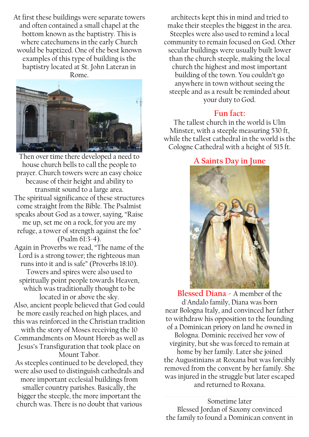At first these buildings were separate towers and often contained a small chapel at the bottom known as the baptistry. This is where catechumens in the early Church would be baptized. One of the best known examples of this type of building is the baptistry located at St. John Lateran in Rome.



Then over time there developed a need to house church bells to call the people to prayer. Church towers were an easy choice because of their height and ability to transmit sound to a large area. The spiritual significance of these structures come straight from the Bible. The Psalmist speaks about God as a tower, saying, "Raise me up, set me on a rock, for you are my refuge, a tower of strength against the foe" (Psalm 61:3-4). Again in Proverbs we read, "The name of the Lord is a strong tower; the righteous man runs into it and is safe" (Proverbs 18:10). Towers and spires were also used to spiritually point people towards Heaven, which was traditionally thought to be located in or above the sky. Also, ancient people believed that God could

be more easily reached on high places, and this was reinforced in the Christian tradition with the story of Moses receiving the 10 Commandments on Mount Horeb as well as

Jesus's Transfiguration that took place on Mount Tabor.

As steeples continued to be developed, they were also used to distinguish cathedrals and more important ecclesial buildings from smaller country parishes. Basically, the bigger the steeple, the more important the church was. There is no doubt that various

architects kept this in mind and tried to make their steeples the biggest in the area. Steeples were also used to remind a local community to remain focused on God. Other secular buildings were usually built lower than the church steeple, making the local church the highest and most important building of the town. You couldn't go anywhere in town without seeing the steeple and as a result be reminded about your duty to God.

# **Fun fact:**

The tallest church in the world is Ulm Minster, with a steeple measuring 530 ft, while the tallest cathedral in the world is the Cologne Cathedral with a height of 515 ft.

# **A Saints Day in June**



 $\overline{\phantom{a}}$ **Blessed Diana -** A member of the d'Andalo family, Diana was born near [Bologna](https://www.catholic.org/encyclopedia/view.php?id=1988) Italy, and convinced her father to withdraw his opposition to the founding of a Dominican [priory](https://www.catholic.org/encyclopedia/view.php?id=9640) on land he owned in Bologna. Dominic received her vow of virginity, but she was forced to remain at home by her family. Later she joined the [Augustinians](https://www.catholic.org/encyclopedia/view.php?id=1265) at Roxana but was forcibly removed from the [convent](https://www.catholic.org/encyclopedia/view.php?id=3328) by her family. She was injured in the struggle but later escaped and returned to Roxana.

Sometime later Blessed [Jordan](https://www.catholic.org/encyclopedia/view.php?id=6467) of [Saxony](https://www.catholic.org/encyclopedia/view.php?id=10535) convinced the [family](https://www.catholic.org/encyclopedia/view.php?id=4568) to found a Dominican [convent](https://www.catholic.org/encyclopedia/view.php?id=3328) in